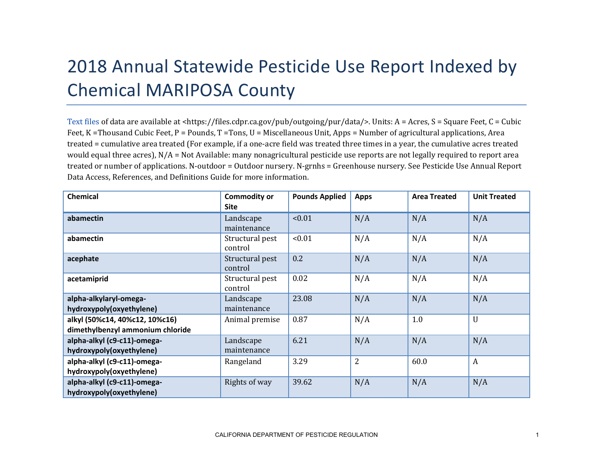## 2018 Annual Statewide Pesticide Use Report Indexed by Chemical MARIPOSA County

[Text files](https://files.cdpr.ca.gov/pub/outgoing/pur/data/) of data are available at <https://files.cdpr.ca.gov/pub/outgoing/pur/data/>. Units: A = Acres, S = Square Feet, C = Cubic Feet, K = Thousand Cubic Feet, P = Pounds, T = Tons, U = Miscellaneous Unit, Apps = Number of agricultural applications, Area treated = cumulative area treated (For example, if a one-acre field was treated three times in a year, the cumulative acres treated would equal three acres), N/A = Not Available: many nonagricultural pesticide use reports are not legally required to report area treated or number of applications. N-outdoor = Outdoor nursery. N-grnhs = Greenhouse nursery. See Pesticide Use Annual Report Data Access, References, and Definitions Guide for more information.

| <b>Chemical</b>                                                    | <b>Commodity or</b><br><b>Site</b> | <b>Pounds Applied</b> | <b>Apps</b>    | <b>Area Treated</b> | <b>Unit Treated</b> |
|--------------------------------------------------------------------|------------------------------------|-----------------------|----------------|---------------------|---------------------|
| abamectin                                                          | Landscape<br>maintenance           | < 0.01                | N/A            | N/A                 | N/A                 |
| abamectin                                                          | Structural pest<br>control         | < 0.01                | N/A            | N/A                 | N/A                 |
| acephate                                                           | Structural pest<br>control         | 0.2                   | N/A            | N/A                 | N/A                 |
| acetamiprid                                                        | Structural pest<br>control         | 0.02                  | N/A            | N/A                 | N/A                 |
| alpha-alkylaryl-omega-<br>hydroxypoly(oxyethylene)                 | Landscape<br>maintenance           | 23.08                 | N/A            | N/A                 | N/A                 |
| alkyl (50%c14, 40%c12, 10%c16)<br>dimethylbenzyl ammonium chloride | Animal premise                     | 0.87                  | N/A            | 1.0                 | $\mathbf U$         |
| alpha-alkyl (c9-c11)-omega-<br>hydroxypoly(oxyethylene)            | Landscape<br>maintenance           | 6.21                  | N/A            | N/A                 | N/A                 |
| alpha-alkyl (c9-c11)-omega-<br>hydroxypoly(oxyethylene)            | Rangeland                          | 3.29                  | $\overline{2}$ | 60.0                | $\boldsymbol{A}$    |
| alpha-alkyl (c9-c11)-omega-<br>hydroxypoly(oxyethylene)            | Rights of way                      | 39.62                 | N/A            | N/A                 | N/A                 |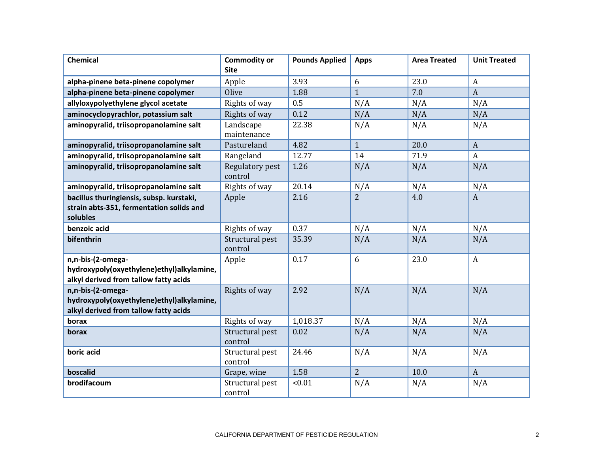| <b>Chemical</b>                                                                                         | <b>Commodity or</b><br><b>Site</b> | <b>Pounds Applied</b> | <b>Apps</b>    | <b>Area Treated</b> | <b>Unit Treated</b> |
|---------------------------------------------------------------------------------------------------------|------------------------------------|-----------------------|----------------|---------------------|---------------------|
| alpha-pinene beta-pinene copolymer                                                                      | Apple                              | 3.93                  | 6              | 23.0                | $\boldsymbol{A}$    |
| alpha-pinene beta-pinene copolymer                                                                      | Olive                              | 1.88                  | $\mathbf{1}$   | 7.0                 | $\boldsymbol{A}$    |
| allyloxypolyethylene glycol acetate                                                                     | Rights of way                      | 0.5                   | N/A            | N/A                 | N/A                 |
| aminocyclopyrachlor, potassium salt                                                                     | Rights of way                      | 0.12                  | N/A            | N/A                 | N/A                 |
| aminopyralid, triisopropanolamine salt                                                                  | Landscape<br>maintenance           | 22.38                 | N/A            | N/A                 | N/A                 |
| aminopyralid, triisopropanolamine salt                                                                  | Pastureland                        | 4.82                  | $\mathbf{1}$   | 20.0                | $\boldsymbol{A}$    |
| aminopyralid, triisopropanolamine salt                                                                  | Rangeland                          | 12.77                 | 14             | 71.9                | $\mathbf{A}$        |
| aminopyralid, triisopropanolamine salt                                                                  | Regulatory pest<br>control         | 1.26                  | N/A            | N/A                 | N/A                 |
| aminopyralid, triisopropanolamine salt                                                                  | Rights of way                      | 20.14                 | N/A            | N/A                 | N/A                 |
| bacillus thuringiensis, subsp. kurstaki,<br>strain abts-351, fermentation solids and<br>solubles        | Apple                              | 2.16                  | $\overline{2}$ | 4.0                 | $\boldsymbol{A}$    |
| benzoic acid                                                                                            | Rights of way                      | 0.37                  | N/A            | N/A                 | N/A                 |
| bifenthrin                                                                                              | Structural pest<br>control         | 35.39                 | N/A            | N/A                 | N/A                 |
| n,n-bis-(2-omega-<br>hydroxypoly(oxyethylene)ethyl)alkylamine,<br>alkyl derived from tallow fatty acids | Apple                              | 0.17                  | 6              | 23.0                | A                   |
| n,n-bis-(2-omega-<br>hydroxypoly(oxyethylene)ethyl)alkylamine,<br>alkyl derived from tallow fatty acids | Rights of way                      | 2.92                  | N/A            | N/A                 | N/A                 |
| borax                                                                                                   | Rights of way                      | 1,018.37              | N/A            | N/A                 | N/A                 |
| borax                                                                                                   | Structural pest<br>control         | 0.02                  | N/A            | N/A                 | N/A                 |
| boric acid                                                                                              | Structural pest<br>control         | 24.46                 | N/A            | N/A                 | N/A                 |
| boscalid                                                                                                | Grape, wine                        | 1.58                  | $\overline{2}$ | 10.0                | $\mathbf{A}$        |
| brodifacoum                                                                                             | Structural pest<br>control         | < 0.01                | N/A            | N/A                 | N/A                 |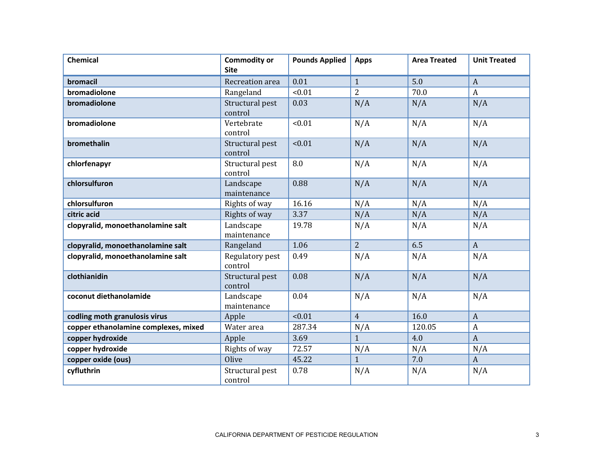| Chemical                             | <b>Commodity or</b><br><b>Site</b> | <b>Pounds Applied</b> | <b>Apps</b>    | <b>Area Treated</b> | <b>Unit Treated</b> |
|--------------------------------------|------------------------------------|-----------------------|----------------|---------------------|---------------------|
| bromacil                             | Recreation area                    | 0.01                  | $\mathbf{1}$   | 5.0                 | $\boldsymbol{A}$    |
| bromadiolone                         | Rangeland                          | < 0.01                | $\overline{2}$ | 70.0                | $\boldsymbol{A}$    |
| bromadiolone                         | Structural pest<br>control         | 0.03                  | N/A            | N/A                 | N/A                 |
| bromadiolone                         | Vertebrate<br>control              | < 0.01                | N/A            | N/A                 | N/A                 |
| bromethalin                          | Structural pest<br>control         | < 0.01                | N/A            | N/A                 | N/A                 |
| chlorfenapyr                         | Structural pest<br>control         | 8.0                   | N/A            | N/A                 | N/A                 |
| chlorsulfuron                        | Landscape<br>maintenance           | 0.88                  | N/A            | N/A                 | N/A                 |
| chlorsulfuron                        | Rights of way                      | 16.16                 | N/A            | N/A                 | N/A                 |
| citric acid                          | Rights of way                      | 3.37                  | N/A            | N/A                 | N/A                 |
| clopyralid, monoethanolamine salt    | Landscape<br>maintenance           | 19.78                 | N/A            | N/A                 | N/A                 |
| clopyralid, monoethanolamine salt    | Rangeland                          | 1.06                  | $\overline{2}$ | 6.5                 | $\mathbf{A}$        |
| clopyralid, monoethanolamine salt    | Regulatory pest<br>control         | 0.49                  | N/A            | N/A                 | N/A                 |
| clothianidin                         | Structural pest<br>control         | 0.08                  | N/A            | N/A                 | N/A                 |
| coconut diethanolamide               | Landscape<br>maintenance           | 0.04                  | N/A            | N/A                 | N/A                 |
| codling moth granulosis virus        | Apple                              | < 0.01                | $\overline{4}$ | 16.0                | $\boldsymbol{A}$    |
| copper ethanolamine complexes, mixed | Water area                         | 287.34                | N/A            | 120.05              | A                   |
| copper hydroxide                     | Apple                              | 3.69                  | $\mathbf{1}$   | 4.0                 | $\boldsymbol{A}$    |
| copper hydroxide                     | Rights of way                      | 72.57                 | N/A            | N/A                 | N/A                 |
| copper oxide (ous)                   | Olive                              | 45.22                 | $\mathbf{1}$   | 7.0                 | $\mathbf{A}$        |
| cyfluthrin                           | Structural pest<br>control         | 0.78                  | N/A            | N/A                 | N/A                 |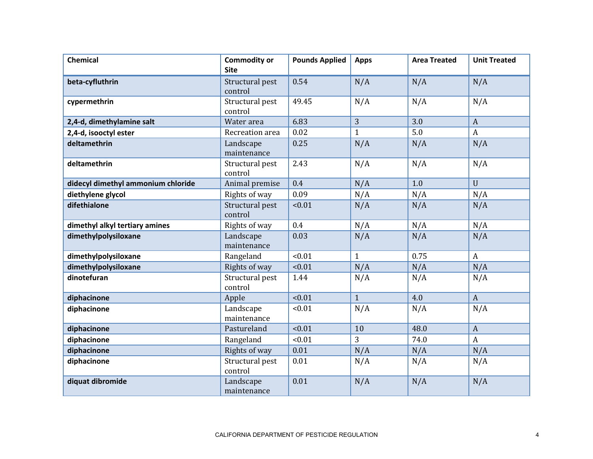| <b>Chemical</b>                    | <b>Commodity or</b><br><b>Site</b> | <b>Pounds Applied</b> | <b>Apps</b>  | <b>Area Treated</b> | <b>Unit Treated</b> |
|------------------------------------|------------------------------------|-----------------------|--------------|---------------------|---------------------|
| beta-cyfluthrin                    | Structural pest<br>control         | 0.54                  | N/A          | N/A                 | N/A                 |
| cypermethrin                       | Structural pest<br>control         | 49.45                 | N/A          | N/A                 | N/A                 |
| 2,4-d, dimethylamine salt          | Water area                         | 6.83                  | 3            | 3.0                 | $\mathbf{A}$        |
| 2,4-d, isooctyl ester              | Recreation area                    | 0.02                  | $\mathbf{1}$ | 5.0                 | $\mathbf{A}$        |
| deltamethrin                       | Landscape<br>maintenance           | 0.25                  | N/A          | N/A                 | N/A                 |
| deltamethrin                       | Structural pest<br>control         | 2.43                  | N/A          | N/A                 | N/A                 |
| didecyl dimethyl ammonium chloride | Animal premise                     | 0.4                   | N/A          | 1.0                 | $\mathbf{U}$        |
| diethylene glycol                  | Rights of way                      | 0.09                  | N/A          | N/A                 | N/A                 |
| difethialone                       | Structural pest<br>control         | < 0.01                | N/A          | N/A                 | N/A                 |
| dimethyl alkyl tertiary amines     | Rights of way                      | 0.4                   | N/A          | N/A                 | N/A                 |
| dimethylpolysiloxane               | Landscape<br>maintenance           | 0.03                  | N/A          | N/A                 | N/A                 |
| dimethylpolysiloxane               | Rangeland                          | < 0.01                | $\mathbf{1}$ | 0.75                | $\mathbf{A}$        |
| dimethylpolysiloxane               | Rights of way                      | < 0.01                | N/A          | N/A                 | N/A                 |
| dinotefuran                        | Structural pest<br>control         | 1.44                  | N/A          | N/A                 | N/A                 |
| diphacinone                        | Apple                              | < 0.01                | $\mathbf{1}$ | 4.0                 | $\overline{A}$      |
| diphacinone                        | Landscape<br>maintenance           | < 0.01                | N/A          | N/A                 | N/A                 |
| diphacinone                        | Pastureland                        | < 0.01                | 10           | 48.0                | $\boldsymbol{A}$    |
| diphacinone                        | Rangeland                          | < 0.01                | 3            | 74.0                | $\mathbf{A}$        |
| diphacinone                        | Rights of way                      | 0.01                  | N/A          | N/A                 | N/A                 |
| diphacinone                        | Structural pest<br>control         | 0.01                  | N/A          | N/A                 | N/A                 |
| diquat dibromide                   | Landscape<br>maintenance           | 0.01                  | N/A          | N/A                 | N/A                 |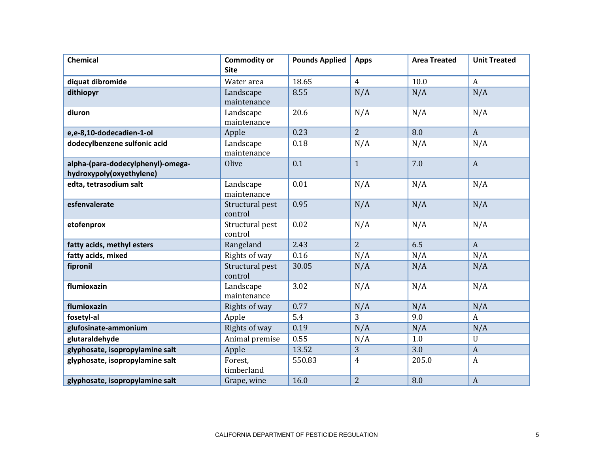| Chemical                                                      | <b>Commodity or</b><br><b>Site</b> | <b>Pounds Applied</b> | <b>Apps</b>    | <b>Area Treated</b> | <b>Unit Treated</b> |
|---------------------------------------------------------------|------------------------------------|-----------------------|----------------|---------------------|---------------------|
| diquat dibromide                                              | Water area                         | 18.65                 | 4              | 10.0                | $\mathbf{A}$        |
| dithiopyr                                                     | Landscape<br>maintenance           | 8.55                  | N/A            | N/A                 | N/A                 |
| diuron                                                        | Landscape<br>maintenance           | 20.6                  | N/A            | N/A                 | N/A                 |
| e,e-8,10-dodecadien-1-ol                                      | Apple                              | 0.23                  | $\overline{2}$ | 8.0                 | $\boldsymbol{A}$    |
| dodecylbenzene sulfonic acid                                  | Landscape<br>maintenance           | 0.18                  | N/A            | N/A                 | N/A                 |
| alpha-(para-dodecylphenyl)-omega-<br>hydroxypoly(oxyethylene) | Olive                              | 0.1                   | $\mathbf{1}$   | 7.0                 | $\mathbf{A}$        |
| edta, tetrasodium salt                                        | Landscape<br>maintenance           | 0.01                  | N/A            | N/A                 | N/A                 |
| esfenvalerate                                                 | Structural pest<br>control         | 0.95                  | N/A            | N/A                 | N/A                 |
| etofenprox                                                    | Structural pest<br>control         | 0.02                  | N/A            | N/A                 | N/A                 |
| fatty acids, methyl esters                                    | Rangeland                          | 2.43                  | $\overline{2}$ | 6.5                 | $\mathbf{A}$        |
| fatty acids, mixed                                            | Rights of way                      | 0.16                  | N/A            | N/A                 | N/A                 |
| fipronil                                                      | Structural pest<br>control         | 30.05                 | N/A            | N/A                 | N/A                 |
| flumioxazin                                                   | Landscape<br>maintenance           | 3.02                  | N/A            | N/A                 | N/A                 |
| flumioxazin                                                   | Rights of way                      | 0.77                  | N/A            | N/A                 | N/A                 |
| fosetyl-al                                                    | Apple                              | 5.4                   | 3              | 9.0                 | $\mathbf{A}$        |
| glufosinate-ammonium                                          | Rights of way                      | 0.19                  | N/A            | N/A                 | N/A                 |
| glutaraldehyde                                                | Animal premise                     | 0.55                  | N/A            | 1.0                 | $\mathbf U$         |
| glyphosate, isopropylamine salt                               | Apple                              | 13.52                 | 3              | 3.0                 | $\boldsymbol{A}$    |
| glyphosate, isopropylamine salt                               | Forest,<br>timberland              | 550.83                | $\overline{4}$ | 205.0               | $\boldsymbol{A}$    |
| glyphosate, isopropylamine salt                               | Grape, wine                        | 16.0                  | $\overline{2}$ | 8.0                 | $\boldsymbol{A}$    |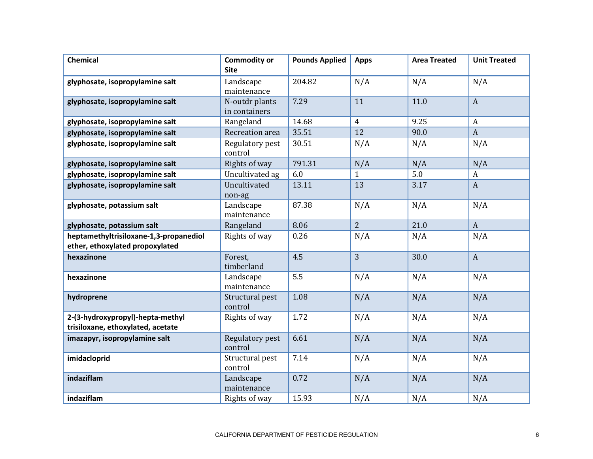| <b>Chemical</b>                                                       | <b>Commodity or</b><br><b>Site</b> | <b>Pounds Applied</b> | <b>Apps</b>    | <b>Area Treated</b> | <b>Unit Treated</b> |
|-----------------------------------------------------------------------|------------------------------------|-----------------------|----------------|---------------------|---------------------|
| glyphosate, isopropylamine salt                                       | Landscape<br>maintenance           | 204.82                | N/A            | N/A                 | N/A                 |
| glyphosate, isopropylamine salt                                       | N-outdr plants<br>in containers    | 7.29                  | 11             | 11.0                | $\boldsymbol{A}$    |
| glyphosate, isopropylamine salt                                       | Rangeland                          | 14.68                 | $\overline{4}$ | 9.25                | $\boldsymbol{A}$    |
| glyphosate, isopropylamine salt                                       | Recreation area                    | 35.51                 | 12             | 90.0                | $\boldsymbol{A}$    |
| glyphosate, isopropylamine salt                                       | Regulatory pest<br>control         | 30.51                 | N/A            | N/A                 | N/A                 |
| glyphosate, isopropylamine salt                                       | Rights of way                      | 791.31                | N/A            | N/A                 | N/A                 |
| glyphosate, isopropylamine salt                                       | Uncultivated ag                    | 6.0                   | $\mathbf{1}$   | 5.0                 | $\boldsymbol{A}$    |
| glyphosate, isopropylamine salt                                       | Uncultivated<br>non-ag             | 13.11                 | 13             | 3.17                | $\boldsymbol{A}$    |
| glyphosate, potassium salt                                            | Landscape<br>maintenance           | 87.38                 | N/A            | N/A                 | N/A                 |
| glyphosate, potassium salt                                            | Rangeland                          | 8.06                  | $\overline{2}$ | 21.0                | $\boldsymbol{A}$    |
| heptamethyltrisiloxane-1,3-propanediol                                | Rights of way                      | 0.26                  | N/A            | N/A                 | N/A                 |
| ether, ethoxylated propoxylated                                       |                                    | 4.5                   | 3              |                     |                     |
| hexazinone                                                            | Forest,<br>timberland              |                       |                | 30.0                | $\boldsymbol{A}$    |
| hexazinone                                                            | Landscape<br>maintenance           | 5.5                   | N/A            | N/A                 | N/A                 |
| hydroprene                                                            | Structural pest<br>control         | 1.08                  | N/A            | N/A                 | N/A                 |
| 2-(3-hydroxypropyl)-hepta-methyl<br>trisiloxane, ethoxylated, acetate | Rights of way                      | 1.72                  | N/A            | N/A                 | N/A                 |
| imazapyr, isopropylamine salt                                         | Regulatory pest<br>control         | 6.61                  | N/A            | N/A                 | N/A                 |
| imidacloprid                                                          | Structural pest<br>control         | 7.14                  | N/A            | N/A                 | N/A                 |
| indaziflam                                                            | Landscape<br>maintenance           | 0.72                  | N/A            | N/A                 | N/A                 |
| indaziflam                                                            | Rights of way                      | 15.93                 | N/A            | N/A                 | N/A                 |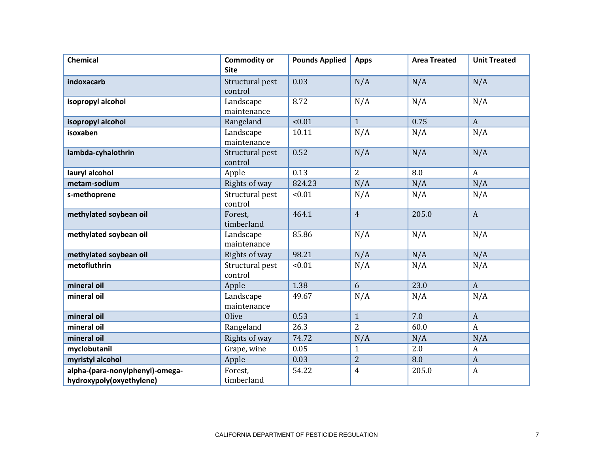| <b>Chemical</b>                                             | <b>Commodity or</b><br><b>Site</b> | <b>Pounds Applied</b> | <b>Apps</b>             | <b>Area Treated</b> | <b>Unit Treated</b> |
|-------------------------------------------------------------|------------------------------------|-----------------------|-------------------------|---------------------|---------------------|
| indoxacarb                                                  | Structural pest<br>control         | 0.03                  | N/A                     | N/A                 | N/A                 |
| isopropyl alcohol                                           | Landscape<br>maintenance           | 8.72                  | N/A                     | N/A                 | N/A                 |
| isopropyl alcohol                                           | Rangeland                          | < 0.01                | $\mathbf{1}$            | 0.75                | $\mathbf{A}$        |
| isoxaben                                                    | Landscape<br>maintenance           | 10.11                 | N/A                     | N/A                 | N/A                 |
| lambda-cyhalothrin                                          | Structural pest<br>control         | 0.52                  | N/A                     | N/A                 | N/A                 |
| lauryl alcohol                                              | Apple                              | 0.13                  | $\overline{2}$          | 8.0                 | $\boldsymbol{A}$    |
| metam-sodium                                                | Rights of way                      | 824.23                | N/A                     | N/A                 | N/A                 |
| s-methoprene                                                | Structural pest<br>control         | < 0.01                | N/A                     | N/A                 | N/A                 |
| methylated soybean oil                                      | Forest,<br>timberland              | 464.1                 | $\overline{4}$          | 205.0               | $\mathbf{A}$        |
| methylated soybean oil                                      | Landscape<br>maintenance           | 85.86                 | N/A                     | N/A                 | N/A                 |
| methylated soybean oil                                      | Rights of way                      | 98.21                 | N/A                     | N/A                 | N/A                 |
| metofluthrin                                                | Structural pest<br>control         | < 0.01                | N/A                     | N/A                 | N/A                 |
| mineral oil                                                 | Apple                              | 1.38                  | 6                       | 23.0                | $\mathbf{A}$        |
| mineral oil                                                 | Landscape<br>maintenance           | 49.67                 | N/A                     | N/A                 | N/A                 |
| mineral oil                                                 | Olive                              | 0.53                  | $\mathbf{1}$            | 7.0                 | $\boldsymbol{A}$    |
| mineral oil                                                 | Rangeland                          | 26.3                  | $\overline{2}$          | 60.0                | $\boldsymbol{A}$    |
| mineral oil                                                 | Rights of way                      | 74.72                 | N/A                     | N/A                 | N/A                 |
| myclobutanil                                                | Grape, wine                        | 0.05                  | $\mathbf{1}$            | 2.0                 | A                   |
| myristyl alcohol                                            | Apple                              | 0.03                  | $\overline{2}$          | 8.0                 | $\boldsymbol{A}$    |
| alpha-(para-nonylphenyl)-omega-<br>hydroxypoly(oxyethylene) | Forest,<br>timberland              | 54.22                 | $\overline{\mathbf{4}}$ | 205.0               | $\boldsymbol{A}$    |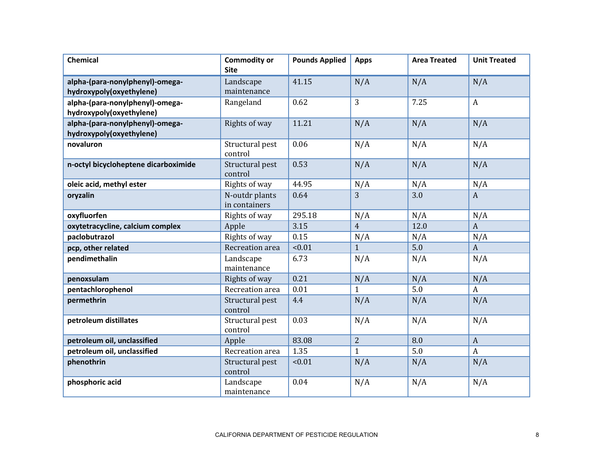| <b>Chemical</b>                      | <b>Commodity or</b><br><b>Site</b> | <b>Pounds Applied</b> | <b>Apps</b>    | <b>Area Treated</b> | <b>Unit Treated</b> |
|--------------------------------------|------------------------------------|-----------------------|----------------|---------------------|---------------------|
|                                      |                                    |                       |                |                     |                     |
| alpha-(para-nonylphenyl)-omega-      | Landscape                          | 41.15                 | N/A            | N/A                 | N/A                 |
| hydroxypoly(oxyethylene)             | maintenance                        |                       |                |                     |                     |
| alpha-(para-nonylphenyl)-omega-      | Rangeland                          | 0.62                  | 3              | 7.25                | $\boldsymbol{A}$    |
| hydroxypoly(oxyethylene)             |                                    |                       |                |                     |                     |
| alpha-(para-nonylphenyl)-omega-      | Rights of way                      | 11.21                 | N/A            | N/A                 | N/A                 |
| hydroxypoly(oxyethylene)             |                                    |                       |                |                     |                     |
| novaluron                            | Structural pest<br>control         | 0.06                  | N/A            | N/A                 | N/A                 |
| n-octyl bicycloheptene dicarboximide | Structural pest<br>control         | 0.53                  | N/A            | N/A                 | N/A                 |
| oleic acid, methyl ester             | Rights of way                      | 44.95                 | N/A            | N/A                 | N/A                 |
| oryzalin                             | N-outdr plants                     | 0.64                  | 3              | 3.0                 | $\overline{A}$      |
|                                      | in containers                      |                       |                |                     |                     |
| oxyfluorfen                          | Rights of way                      | 295.18                | N/A            | N/A                 | N/A                 |
| oxytetracycline, calcium complex     | Apple                              | 3.15                  | $\overline{4}$ | 12.0                | $\mathbf{A}$        |
| paclobutrazol                        | Rights of way                      | 0.15                  | N/A            | N/A                 | N/A                 |
| pcp, other related                   | Recreation area                    | < 0.01                | $\mathbf{1}$   | 5.0                 | $\mathbf{A}$        |
| pendimethalin                        | Landscape                          | 6.73                  | N/A            | N/A                 | N/A                 |
|                                      | maintenance                        |                       |                |                     |                     |
| penoxsulam                           | Rights of way                      | 0.21                  | N/A            | N/A                 | N/A                 |
| pentachlorophenol                    | Recreation area                    | 0.01                  | $\mathbf{1}$   | 5.0                 | $\mathbf{A}$        |
| permethrin                           | Structural pest<br>control         | 4.4                   | N/A            | N/A                 | N/A                 |
| petroleum distillates                | Structural pest<br>control         | 0.03                  | N/A            | N/A                 | N/A                 |
| petroleum oil, unclassified          | Apple                              | 83.08                 | $\overline{2}$ | 8.0                 | $\mathbf{A}$        |
| petroleum oil, unclassified          | Recreation area                    | 1.35                  | $\mathbf{1}$   | 5.0                 | $\mathbf{A}$        |
| phenothrin                           | Structural pest                    | < 0.01                | N/A            | N/A                 | N/A                 |
|                                      | control                            |                       |                |                     |                     |
| phosphoric acid                      | Landscape                          | 0.04                  | N/A            | N/A                 | N/A                 |
|                                      | maintenance                        |                       |                |                     |                     |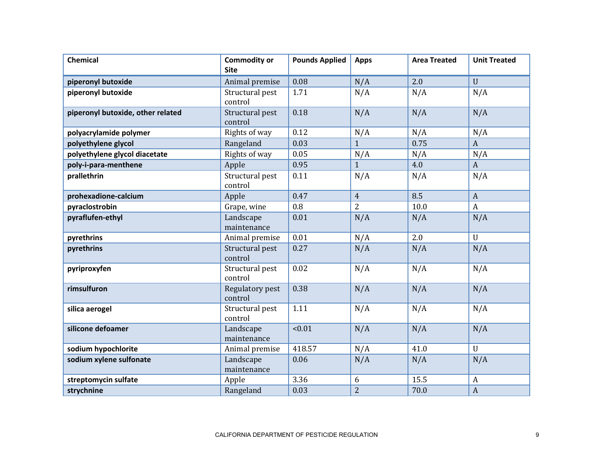| <b>Chemical</b>                   | <b>Commodity or</b><br><b>Site</b> | <b>Pounds Applied</b> | <b>Apps</b>    | <b>Area Treated</b> | <b>Unit Treated</b> |
|-----------------------------------|------------------------------------|-----------------------|----------------|---------------------|---------------------|
| piperonyl butoxide                | Animal premise                     | 0.08                  | N/A            | 2.0                 | $\mathbf U$         |
| piperonyl butoxide                | Structural pest<br>control         | 1.71                  | N/A            | N/A                 | N/A                 |
| piperonyl butoxide, other related | Structural pest<br>control         | 0.18                  | N/A            | N/A                 | N/A                 |
| polyacrylamide polymer            | Rights of way                      | 0.12                  | N/A            | N/A                 | N/A                 |
| polyethylene glycol               | Rangeland                          | 0.03                  | $\mathbf{1}$   | 0.75                | $\boldsymbol{A}$    |
| polyethylene glycol diacetate     | Rights of way                      | 0.05                  | N/A            | N/A                 | N/A                 |
| poly-i-para-menthene              | Apple                              | 0.95                  | $\mathbf{1}$   | 4.0                 | $\boldsymbol{A}$    |
| prallethrin                       | Structural pest<br>control         | 0.11                  | N/A            | N/A                 | N/A                 |
| prohexadione-calcium              | Apple                              | 0.47                  | $\overline{4}$ | 8.5                 | $\mathbf{A}$        |
| pyraclostrobin                    | Grape, wine                        | 0.8                   | $\overline{2}$ | 10.0                | A                   |
| pyraflufen-ethyl                  | Landscape<br>maintenance           | 0.01                  | N/A            | N/A                 | N/A                 |
| pyrethrins                        | Animal premise                     | 0.01                  | N/A            | 2.0                 | $\mathbf U$         |
| pyrethrins                        | Structural pest<br>control         | 0.27                  | N/A            | N/A                 | N/A                 |
| pyriproxyfen                      | Structural pest<br>control         | 0.02                  | N/A            | N/A                 | N/A                 |
| rimsulfuron                       | Regulatory pest<br>control         | 0.38                  | N/A            | N/A                 | N/A                 |
| silica aerogel                    | Structural pest<br>control         | 1.11                  | N/A            | N/A                 | N/A                 |
| silicone defoamer                 | Landscape<br>maintenance           | < 0.01                | N/A            | N/A                 | N/A                 |
| sodium hypochlorite               | Animal premise                     | 418.57                | N/A            | 41.0                | $\mathbf{U}$        |
| sodium xylene sulfonate           | Landscape<br>maintenance           | 0.06                  | N/A            | N/A                 | N/A                 |
| streptomycin sulfate              | Apple                              | 3.36                  | 6              | 15.5                | $\boldsymbol{A}$    |
| strychnine                        | Rangeland                          | 0.03                  | $\overline{2}$ | 70.0                | $\boldsymbol{A}$    |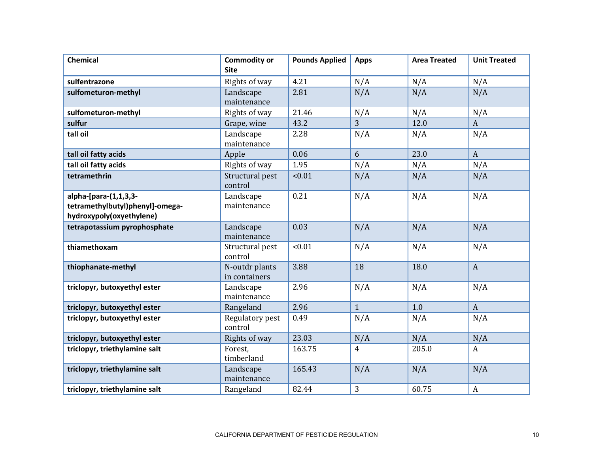| Chemical                                                                             | <b>Commodity or</b><br><b>Site</b> | <b>Pounds Applied</b> | <b>Apps</b>  | <b>Area Treated</b> | <b>Unit Treated</b> |
|--------------------------------------------------------------------------------------|------------------------------------|-----------------------|--------------|---------------------|---------------------|
| sulfentrazone                                                                        | Rights of way                      | 4.21                  | N/A          | N/A                 | N/A                 |
| sulfometuron-methyl                                                                  | Landscape<br>maintenance           | 2.81                  | N/A          | N/A                 | N/A                 |
| sulfometuron-methyl                                                                  | Rights of way                      | 21.46                 | N/A          | N/A                 | N/A                 |
| sulfur                                                                               | Grape, wine                        | 43.2                  | 3            | 12.0                | $\boldsymbol{A}$    |
| tall oil                                                                             | Landscape<br>maintenance           | 2.28                  | N/A          | N/A                 | N/A                 |
| tall oil fatty acids                                                                 | Apple                              | 0.06                  | 6            | 23.0                | $\boldsymbol{A}$    |
| tall oil fatty acids                                                                 | Rights of way                      | 1.95                  | N/A          | N/A                 | N/A                 |
| tetramethrin                                                                         | Structural pest<br>control         | < 0.01                | N/A          | N/A                 | N/A                 |
| alpha-[para-(1,1,3,3-<br>tetramethylbutyl)phenyl]-omega-<br>hydroxypoly(oxyethylene) | Landscape<br>maintenance           | 0.21                  | N/A          | N/A                 | N/A                 |
| tetrapotassium pyrophosphate                                                         | Landscape<br>maintenance           | 0.03                  | N/A          | N/A                 | N/A                 |
| thiamethoxam                                                                         | Structural pest<br>control         | < 0.01                | N/A          | N/A                 | N/A                 |
| thiophanate-methyl                                                                   | N-outdr plants<br>in containers    | 3.88                  | 18           | 18.0                | $\mathbf{A}$        |
| triclopyr, butoxyethyl ester                                                         | Landscape<br>maintenance           | 2.96                  | N/A          | N/A                 | N/A                 |
| triclopyr, butoxyethyl ester                                                         | Rangeland                          | 2.96                  | $\mathbf{1}$ | 1.0                 | $\boldsymbol{A}$    |
| triclopyr, butoxyethyl ester                                                         | Regulatory pest<br>control         | 0.49                  | N/A          | N/A                 | N/A                 |
| triclopyr, butoxyethyl ester                                                         | Rights of way                      | 23.03                 | N/A          | N/A                 | N/A                 |
| triclopyr, triethylamine salt                                                        | Forest.<br>timberland              | 163.75                | 4            | 205.0               | A                   |
| triclopyr, triethylamine salt                                                        | Landscape<br>maintenance           | 165.43                | N/A          | N/A                 | N/A                 |
| triclopyr, triethylamine salt                                                        | Rangeland                          | 82.44                 | 3            | 60.75               | A                   |